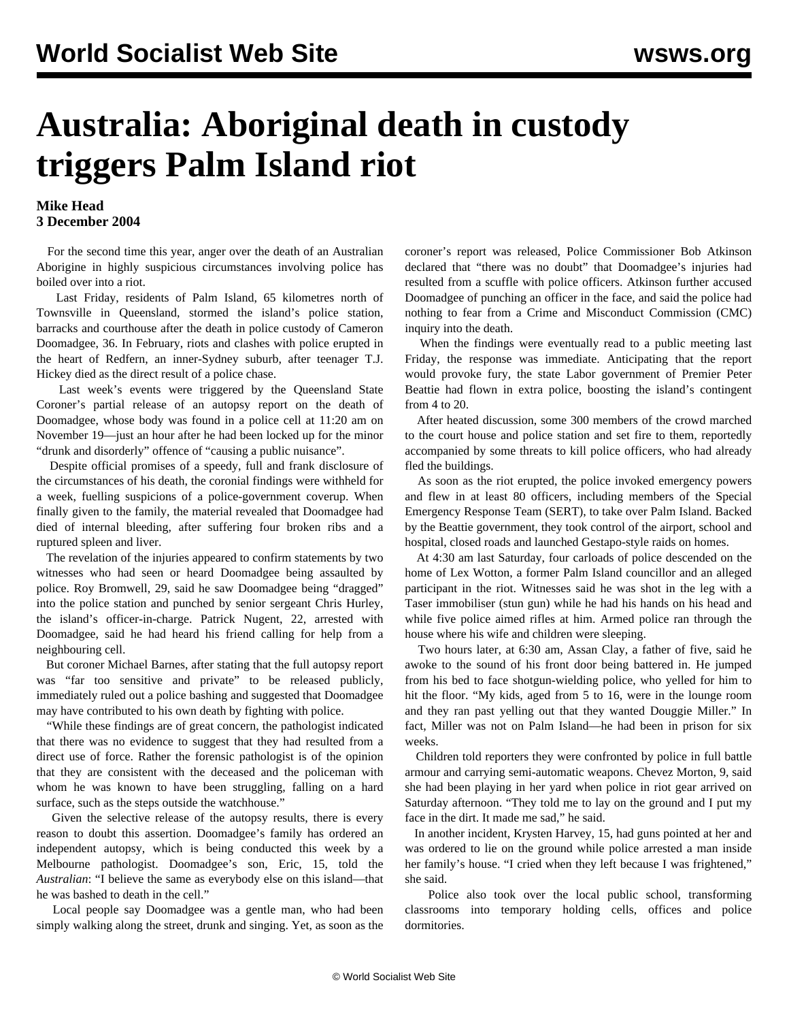## **Australia: Aboriginal death in custody triggers Palm Island riot**

## **Mike Head 3 December 2004**

 For the second time this year, anger over the death of an Australian Aborigine in highly suspicious circumstances involving police has boiled over into a riot.

 Last Friday, residents of Palm Island, 65 kilometres north of Townsville in Queensland, stormed the island's police station, barracks and courthouse after the death in police custody of Cameron Doomadgee, 36. In February, riots and clashes with police erupted in the heart of Redfern, an inner-Sydney suburb, after teenager T.J. Hickey died as the direct result of a police chase.

 Last week's events were triggered by the Queensland State Coroner's partial release of an autopsy report on the death of Doomadgee, whose body was found in a police cell at 11:20 am on November 19—just an hour after he had been locked up for the minor "drunk and disorderly" offence of "causing a public nuisance".

 Despite official promises of a speedy, full and frank disclosure of the circumstances of his death, the coronial findings were withheld for a week, fuelling suspicions of a police-government coverup. When finally given to the family, the material revealed that Doomadgee had died of internal bleeding, after suffering four broken ribs and a ruptured spleen and liver.

 The revelation of the injuries appeared to confirm statements by two witnesses who had seen or heard Doomadgee being assaulted by police. Roy Bromwell, 29, said he saw Doomadgee being "dragged" into the police station and punched by senior sergeant Chris Hurley, the island's officer-in-charge. Patrick Nugent, 22, arrested with Doomadgee, said he had heard his friend calling for help from a neighbouring cell.

 But coroner Michael Barnes, after stating that the full autopsy report was "far too sensitive and private" to be released publicly, immediately ruled out a police bashing and suggested that Doomadgee may have contributed to his own death by fighting with police.

 "While these findings are of great concern, the pathologist indicated that there was no evidence to suggest that they had resulted from a direct use of force. Rather the forensic pathologist is of the opinion that they are consistent with the deceased and the policeman with whom he was known to have been struggling, falling on a hard surface, such as the steps outside the watchhouse."

 Given the selective release of the autopsy results, there is every reason to doubt this assertion. Doomadgee's family has ordered an independent autopsy, which is being conducted this week by a Melbourne pathologist. Doomadgee's son, Eric, 15, told the *Australian*: "I believe the same as everybody else on this island—that he was bashed to death in the cell."

 Local people say Doomadgee was a gentle man, who had been simply walking along the street, drunk and singing. Yet, as soon as the coroner's report was released, Police Commissioner Bob Atkinson declared that "there was no doubt" that Doomadgee's injuries had resulted from a scuffle with police officers. Atkinson further accused Doomadgee of punching an officer in the face, and said the police had nothing to fear from a Crime and Misconduct Commission (CMC) inquiry into the death.

 When the findings were eventually read to a public meeting last Friday, the response was immediate. Anticipating that the report would provoke fury, the state Labor government of Premier Peter Beattie had flown in extra police, boosting the island's contingent from 4 to 20.

 After heated discussion, some 300 members of the crowd marched to the court house and police station and set fire to them, reportedly accompanied by some threats to kill police officers, who had already fled the buildings.

 As soon as the riot erupted, the police invoked emergency powers and flew in at least 80 officers, including members of the Special Emergency Response Team (SERT), to take over Palm Island. Backed by the Beattie government, they took control of the airport, school and hospital, closed roads and launched Gestapo-style raids on homes.

 At 4:30 am last Saturday, four carloads of police descended on the home of Lex Wotton, a former Palm Island councillor and an alleged participant in the riot. Witnesses said he was shot in the leg with a Taser immobiliser (stun gun) while he had his hands on his head and while five police aimed rifles at him. Armed police ran through the house where his wife and children were sleeping.

 Two hours later, at 6:30 am, Assan Clay, a father of five, said he awoke to the sound of his front door being battered in. He jumped from his bed to face shotgun-wielding police, who yelled for him to hit the floor. "My kids, aged from 5 to 16, were in the lounge room and they ran past yelling out that they wanted Douggie Miller." In fact, Miller was not on Palm Island—he had been in prison for six weeks.

 Children told reporters they were confronted by police in full battle armour and carrying semi-automatic weapons. Chevez Morton, 9, said she had been playing in her yard when police in riot gear arrived on Saturday afternoon. "They told me to lay on the ground and I put my face in the dirt. It made me sad," he said.

 In another incident, Krysten Harvey, 15, had guns pointed at her and was ordered to lie on the ground while police arrested a man inside her family's house. "I cried when they left because I was frightened," she said.

 Police also took over the local public school, transforming classrooms into temporary holding cells, offices and police dormitories.